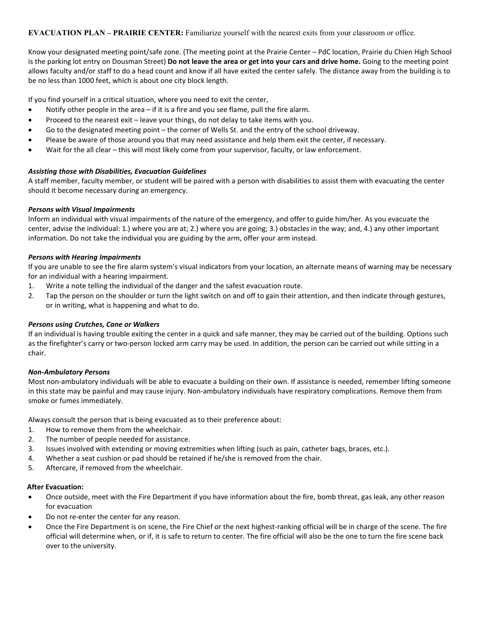**EVACUATION PLAN – PRAIRIE CENTER:** Familiarize yourself with the nearest exits from your classroom or office.

Know your designated meeting point/safe zone. (The meeting point at the Prairie Center – PdC location, Prairie du Chien High School is the parking lot entry on Dousman Street) **Do not leave the area or get into your cars and drive home.** Going to the meeting point allows faculty and/or staff to do a head count and know if all have exited the center safely. The distance away from the building is to be no less than 1000 feet, which is about one city block length.

If you find yourself in a critical situation, where you need to exit the center,

- Notify other people in the area if it is a fire and you see flame, pull the fire alarm.
- Proceed to the nearest exit leave your things, do not delay to take items with you.
- Go to the designated meeting point the corner of Wells St. and the entry of the school driveway.
- Please be aware of those around you that may need assistance and help them exit the center, if necessary.
- Wait for the all clear this will most likely come from your supervisor, faculty, or law enforcement.

### *Assisting those with Disabilities, Evacuation Guidelines*

A staff member, faculty member, or student will be paired with a person with disabilities to assist them with evacuating the center should it become necessary during an emergency.

# *Persons with Visual Impairments*

Inform an individual with visual impairments of the nature of the emergency, and offer to guide him/her. As you evacuate the center, advise the individual: 1.) where you are at; 2.) where you are going; 3.) obstacles in the way; and, 4.) any other important information. Do not take the individual you are guiding by the arm, offer your arm instead.

### *Persons with Hearing Impairments*

If you are unable to see the fire alarm system's visual indicators from your location, an alternate means of warning may be necessary for an individual with a hearing impairment.

- 1. Write a note telling the individual of the danger and the safest evacuation route.
- 2. Tap the person on the shoulder or turn the light switch on and off to gain their attention, and then indicate through gestures, or in writing, what is happening and what to do.

### *Persons using Crutches, Cane or Walkers*

If an individual is having trouble exiting the center in a quick and safe manner, they may be carried out of the building. Options such as the firefighter's carry or two-person locked arm carry may be used. In addition, the person can be carried out while sitting in a chair.

### *Non-Ambulatory Persons*

Most non-ambulatory individuals will be able to evacuate a building on their own. If assistance is needed, remember lifting someone in this state may be painful and may cause injury. Non-ambulatory individuals have respiratory complications. Remove them from smoke or fumes immediately.

Always consult the person that is being evacuated as to their preference about:

- 1. How to remove them from the wheelchair.
- 2. The number of people needed for assistance.
- 3. Issues involved with extending or moving extremities when lifting (such as pain, catheter bags, braces, etc.).
- 4. Whether a seat cushion or pad should be retained if he/she is removed from the chair.
- 5. Aftercare, if removed from the wheelchair.

### **After Evacuation:**

- Once outside, meet with the Fire Department if you have information about the fire, bomb threat, gas leak, any other reason for evacuation
- Do not re-enter the center for any reason.
- Once the Fire Department is on scene, the Fire Chief or the next highest-ranking official will be in charge of the scene. The fire official will determine when, or if, it is safe to return to center. The fire official will also be the one to turn the fire scene back over to the university.